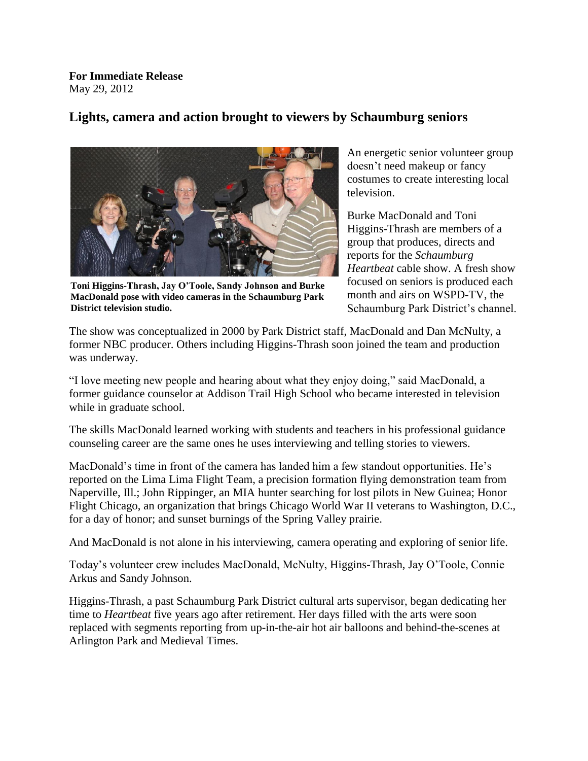**For Immediate Release** May 29, 2012

## **Lights, camera and action brought to viewers by Schaumburg seniors**



**Toni Higgins-Thrash, Jay O'Toole, Sandy Johnson and Burke MacDonald pose with video cameras in the Schaumburg Park District television studio.**

An energetic senior volunteer group doesn't need makeup or fancy costumes to create interesting local television.

Burke MacDonald and Toni Higgins-Thrash are members of a group that produces, directs and reports for the *Schaumburg Heartbeat* cable show. A fresh show focused on seniors is produced each month and airs on WSPD-TV, the Schaumburg Park District's channel.

The show was conceptualized in 2000 by Park District staff, MacDonald and Dan McNulty, a former NBC producer. Others including Higgins-Thrash soon joined the team and production was underway.

"I love meeting new people and hearing about what they enjoy doing," said MacDonald, a former guidance counselor at Addison Trail High School who became interested in television while in graduate school.

The skills MacDonald learned working with students and teachers in his professional guidance counseling career are the same ones he uses interviewing and telling stories to viewers.

MacDonald's time in front of the camera has landed him a few standout opportunities. He's reported on the Lima Lima Flight Team, a precision formation flying demonstration team from Naperville, Ill.; John Rippinger, an MIA hunter searching for lost pilots in New Guinea; Honor Flight Chicago, an organization that brings Chicago World War II veterans to Washington, D.C., for a day of honor; and sunset burnings of the Spring Valley prairie.

And MacDonald is not alone in his interviewing, camera operating and exploring of senior life.

Today's volunteer crew includes MacDonald, McNulty, Higgins-Thrash, Jay O'Toole, Connie Arkus and Sandy Johnson.

Higgins-Thrash, a past Schaumburg Park District cultural arts supervisor, began dedicating her time to *Heartbeat* five years ago after retirement. Her days filled with the arts were soon replaced with segments reporting from up-in-the-air hot air balloons and behind-the-scenes at Arlington Park and Medieval Times.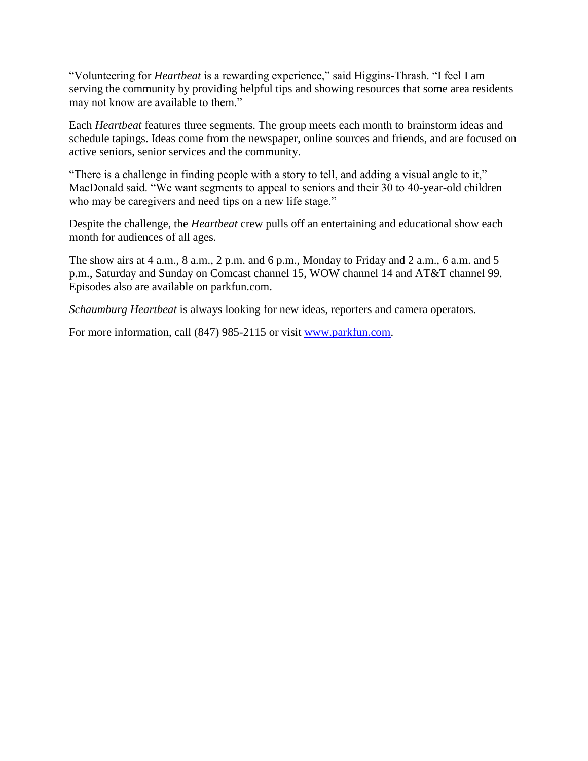"Volunteering for *Heartbeat* is a rewarding experience," said Higgins-Thrash. "I feel I am serving the community by providing helpful tips and showing resources that some area residents may not know are available to them."

Each *Heartbeat* features three segments. The group meets each month to brainstorm ideas and schedule tapings. Ideas come from the newspaper, online sources and friends, and are focused on active seniors, senior services and the community.

"There is a challenge in finding people with a story to tell, and adding a visual angle to it," MacDonald said. "We want segments to appeal to seniors and their 30 to 40-year-old children who may be caregivers and need tips on a new life stage."

Despite the challenge, the *Heartbeat* crew pulls off an entertaining and educational show each month for audiences of all ages.

The show airs at 4 a.m., 8 a.m., 2 p.m. and 6 p.m., Monday to Friday and 2 a.m., 6 a.m. and 5 p.m., Saturday and Sunday on Comcast channel 15, WOW channel 14 and AT&T channel 99. Episodes also are available on parkfun.com.

*Schaumburg Heartbeat* is always looking for new ideas, reporters and camera operators.

For more information, call (847) 985-2115 or visit [www.parkfun.com.](http://www.parkfun.com/)